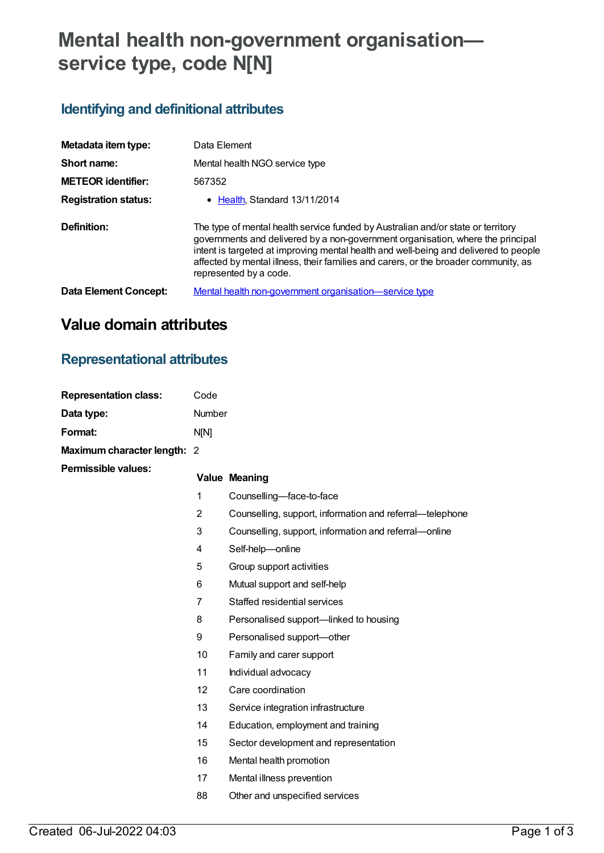# **Mental health non-government organisation service type, code N[N]**

## **Identifying and definitional attributes**

| Metadata item type:         | Data Element                                                                                                                                                                                                                                                                                                                                                                 |
|-----------------------------|------------------------------------------------------------------------------------------------------------------------------------------------------------------------------------------------------------------------------------------------------------------------------------------------------------------------------------------------------------------------------|
| Short name:                 | Mental health NGO service type                                                                                                                                                                                                                                                                                                                                               |
| <b>METEOR identifier:</b>   | 567352                                                                                                                                                                                                                                                                                                                                                                       |
| <b>Registration status:</b> | • Health, Standard 13/11/2014                                                                                                                                                                                                                                                                                                                                                |
| Definition:                 | The type of mental health service funded by Australian and/or state or territory<br>governments and delivered by a non-government organisation, where the principal<br>intent is targeted at improving mental health and well-being and delivered to people<br>affected by mental illness, their families and carers, or the broader community, as<br>represented by a code. |
| Data Element Concept:       | Mental health non-government organisation—service type                                                                                                                                                                                                                                                                                                                       |

## **Value domain attributes**

### **Representational attributes**

| <b>Representation class:</b> | Code           |                                                          |
|------------------------------|----------------|----------------------------------------------------------|
| Data type:                   | Number         |                                                          |
| Format:                      | N[N]           |                                                          |
| Maximum character length: 2  |                |                                                          |
| <b>Permissible values:</b>   |                | <b>Value Meaning</b>                                     |
|                              | $\mathbf{1}$   | Counselling-face-to-face                                 |
|                              | $\overline{2}$ | Counselling, support, information and referral-telephone |
|                              | 3              | Counselling, support, information and referral-online    |
|                              | 4              | Self-help-online                                         |
|                              | 5              | Group support activities                                 |
|                              | 6              | Mutual support and self-help                             |
|                              | $\overline{7}$ | Staffed residential services                             |
|                              | 8              | Personalised support-linked to housing                   |
|                              | 9              | Personalised support-other                               |
|                              | 10             | Family and carer support                                 |
|                              | 11             | Individual advocacy                                      |
|                              | 12             | Care coordination                                        |
|                              | 13             | Service integration infrastructure                       |
|                              | 14             | Education, employment and training                       |
|                              | 15             | Sector development and representation                    |
|                              | 16             | Mental health promotion                                  |
|                              | 17             | Mental illness prevention                                |
|                              | 88             | Other and unspecified services                           |
|                              |                |                                                          |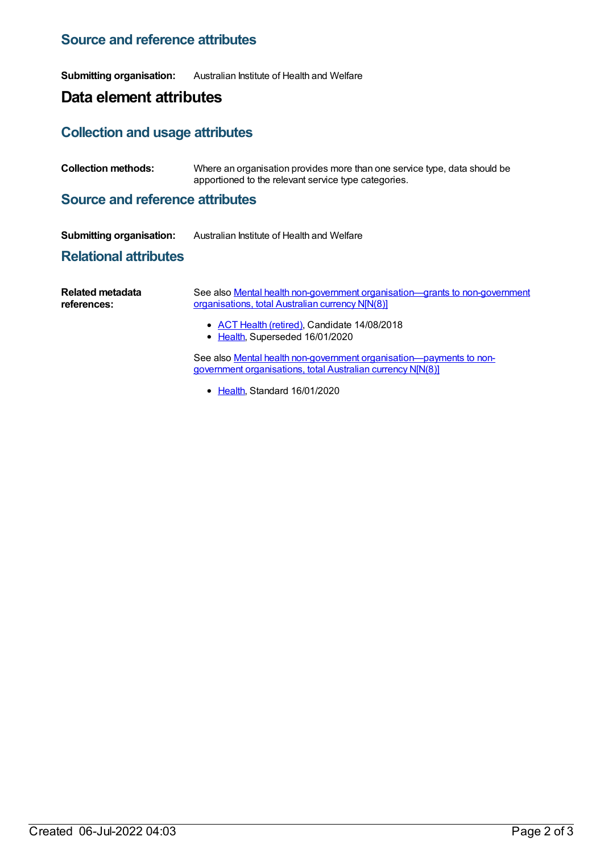### **Source and reference attributes**

**Submitting organisation:** Australian Institute of Health and Welfare

## **Data element attributes**

#### **Collection and usage attributes**

**Collection methods:** Where an organisation provides more than one service type, data should be apportioned to the relevant service type categories.

#### **Source and reference attributes**

| <b>Submitting organisation:</b> | Australian Institute of Health and Welfare |
|---------------------------------|--------------------------------------------|
|---------------------------------|--------------------------------------------|

#### **Relational attributes**

| Related metadata<br>references: | See also Mental health non-government organisation—grants to non-government<br>organisations, total Australian currency N[N(8)]    |  |  |
|---------------------------------|------------------------------------------------------------------------------------------------------------------------------------|--|--|
|                                 | • ACT Health (retired), Candidate 14/08/2018<br>• Health, Superseded 16/01/2020                                                    |  |  |
|                                 | See also Mental health non-government organisation-payments to non-<br>government organisations, total Australian currency N[N(8)] |  |  |

• [Health](https://meteor.aihw.gov.au/RegistrationAuthority/12), Standard 16/01/2020